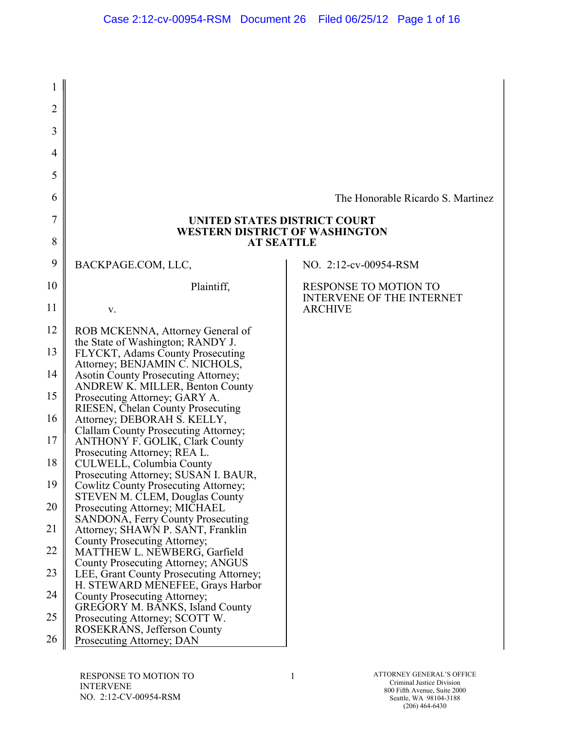| 1              |                                                                               |                                                                  |
|----------------|-------------------------------------------------------------------------------|------------------------------------------------------------------|
| $\overline{2}$ |                                                                               |                                                                  |
| 3              |                                                                               |                                                                  |
| 4              |                                                                               |                                                                  |
| 5              |                                                                               |                                                                  |
| 6              |                                                                               | The Honorable Ricardo S. Martinez                                |
| 7              | UNITED STATES DISTRICT COURT                                                  |                                                                  |
| 8              | <b>WESTERN DISTRICT OF WASHINGTON</b><br><b>AT SEATTLE</b>                    |                                                                  |
| 9              | BACKPAGE.COM, LLC,                                                            | NO. 2:12-cv-00954-RSM                                            |
| 10             | Plaintiff,                                                                    | <b>RESPONSE TO MOTION TO</b><br><b>INTERVENE OF THE INTERNET</b> |
| 11             | V.                                                                            | <b>ARCHIVE</b>                                                   |
| 12             | ROB MCKENNA, Attorney General of                                              |                                                                  |
| 13             | the State of Washington; RANDY J.<br>FLYCKT, Adams County Prosecuting         |                                                                  |
| 14             | Attorney; BENJAMIN C. NICHOLS,<br><b>Asotin County Prosecuting Attorney;</b>  |                                                                  |
| 15             | <b>ANDREW K. MILLER, Benton County</b><br>Prosecuting Attorney; GARY A.       |                                                                  |
| 16             | <b>RIESEN, Chelan County Prosecuting</b><br>Attorney; DEBORAH S. KELLY,       |                                                                  |
| 17             | Clallam County Prosecuting Attorney;<br><b>ANTHONY F. GOLIK, Clark County</b> |                                                                  |
| 18             | Prosecuting Attorney; REA L.<br>CULWELL, Columbia County                      |                                                                  |
| 19             | Prosecuting Attorney; SUSAN I. BAUR,<br>Cowlitz County Prosecuting Attorney;  |                                                                  |
| 20             | <b>STEVEN M. CLEM, Douglas County</b><br>Prosecuting Attorney; MICHAEL        |                                                                  |
| 21             | <b>SANDONA, Ferry County Prosecuting</b><br>Attorney; SHAWN P. SANT, Franklin |                                                                  |
| 22             | County Prosecuting Attorney;<br><b>MATTHEW L. NEWBERG, Garfield</b>           |                                                                  |
| 23             | County Prosecuting Attorney; ANGUS<br>LEE, Grant County Prosecuting Attorney; |                                                                  |
| 24             | H. STEWARD MENEFEE, Grays Harbor                                              |                                                                  |
|                | County Prosecuting Attorney;<br><b>GREGORY M. BANKS, Island County</b>        |                                                                  |
| 25             | Prosecuting Attorney; SCOTT W.<br>ROSEKRANS, Jefferson County                 |                                                                  |
| 26             | Prosecuting Attorney; DAN                                                     |                                                                  |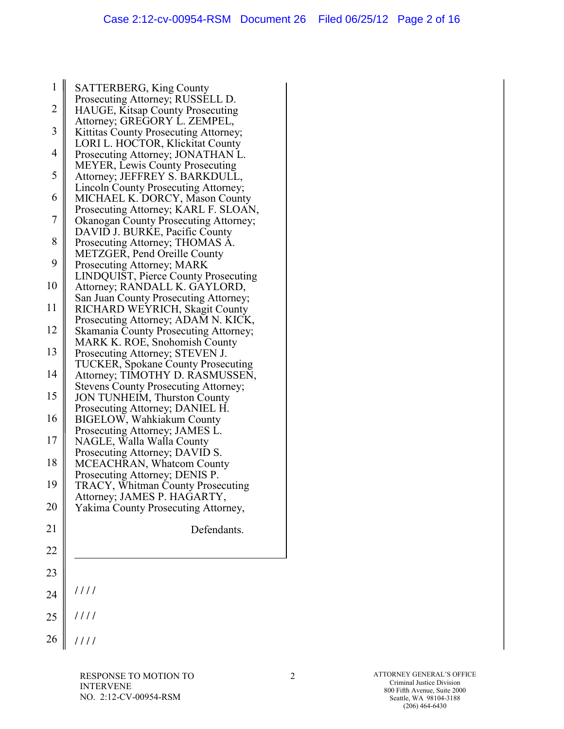| $\mathbf{1}$            | <b>SATTERBERG, King County</b>                                                     |
|-------------------------|------------------------------------------------------------------------------------|
| $\overline{2}$          | Prosecuting Attorney; RUSSELL D.<br>HAUGE, Kitsap County Prosecuting               |
| $\overline{\mathbf{3}}$ | Attorney; GREGORY L. ZEMPEL,<br>Kittitas County Prosecuting Attorney;              |
| $\overline{4}$          | LORI L. HOCTOR, Klickitat County<br>Prosecuting Attorney; JONATHAN L.              |
| 5                       | <b>MEYER, Lewis County Prosecuting</b><br>Attorney; JEFFREY S. BARKDULL,           |
| 6                       | Lincoln County Prosecuting Attorney;<br>MICHAEL K. DORCY, Mason County             |
| $\overline{7}$          | Prosecuting Attorney; KARL F. SLOAN,                                               |
|                         | <b>Okanogan County Prosecuting Attorney;</b><br>DAVID J. BURKE, Pacific County     |
| 8                       | Prosecuting Attorney; THOMAS A.<br>METZGER, Pend Oreille County                    |
| 9                       | Prosecuting Attorney; MARK                                                         |
| 10                      | LINDQUIST, Pierce County Prosecuting<br>Attorney; RANDALL K. GAYLORD,              |
| 11                      | San Juan County Prosecuting Attorney;<br>RICHARD WEYRICH, Skagit County            |
| 12                      | Prosecuting Attorney; ADAM N. KICK,<br>Skamania County Prosecuting Attorney;       |
| 13                      | MARK K. ROE, Snohomish County<br>Prosecuting Attorney; STEVEN J.                   |
| 14                      | <b>TUCKER, Spokane County Prosecuting</b><br>Attorney; TIMOTHY D. RASMUSSEN,       |
| 15                      | <b>Stevens County Prosecuting Attorney;</b><br><b>JON TUNHEIM, Thurston County</b> |
|                         | Prosecuting Attorney; DANIEL H.                                                    |
| 16                      | <b>BIGELOW, Wahkiakum County</b><br>Prosecuting Attorney; JAMES L.                 |
| 17                      | NAGLE, Walla Walla County                                                          |
| 18                      | Prosecuting Attorney; DAVID S.<br><b>MCEACHRAN, Whatcom County</b>                 |
| 19                      | Prosecuting Attorney; DENIS P.                                                     |
|                         | <b>TRACY, Whitman County Prosecuting</b><br>Attorney; JAMES P. HAGARTY,            |
| 20                      | Yakima County Prosecuting Attorney,                                                |
| 21                      | Defendants.                                                                        |
| 22                      |                                                                                    |
| 23                      |                                                                                    |
| 24                      | 1111                                                                               |
| 25                      | ////                                                                               |
| 26                      | 1111                                                                               |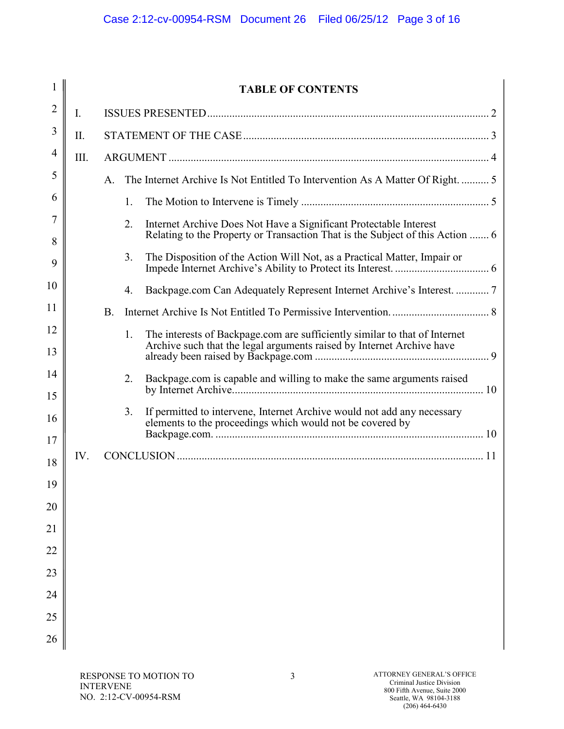|                       |      |             |    | <b>TABLE OF CONTENTS</b>                                                                                                                            |  |
|-----------------------|------|-------------|----|-----------------------------------------------------------------------------------------------------------------------------------------------------|--|
| 2                     | I.   |             |    |                                                                                                                                                     |  |
| 3                     | Π.   |             |    |                                                                                                                                                     |  |
| 4                     | III. |             |    |                                                                                                                                                     |  |
| 5                     |      | $A_{\cdot}$ |    | The Internet Archive Is Not Entitled To Intervention As A Matter Of Right.  5                                                                       |  |
| 6                     |      |             | 1. |                                                                                                                                                     |  |
| 7<br>8                |      |             | 2. | Internet Archive Does Not Have a Significant Protectable Interest<br>Relating to the Property or Transaction That is the Subject of this Action  6  |  |
| 9                     |      |             | 3. | The Disposition of the Action Will Not, as a Practical Matter, Impair or                                                                            |  |
| 10                    |      |             | 4. |                                                                                                                                                     |  |
| 11                    |      | <b>B</b> .  |    |                                                                                                                                                     |  |
| 12<br>13              |      |             | 1. | The interests of Backpage.com are sufficiently similar to that of Internet<br>Archive such that the legal arguments raised by Internet Archive have |  |
| 14<br>15              |      |             | 2. | Backpage.com is capable and willing to make the same arguments raised                                                                               |  |
| 16                    |      |             | 3. | If permitted to intervene, Internet Archive would not add any necessary<br>elements to the proceedings which would not be covered by                |  |
| 17                    | IV.  |             |    |                                                                                                                                                     |  |
| 18                    |      |             |    |                                                                                                                                                     |  |
| 19                    |      |             |    |                                                                                                                                                     |  |
| 20<br>$\overline{21}$ |      |             |    |                                                                                                                                                     |  |
| 22                    |      |             |    |                                                                                                                                                     |  |
| 23                    |      |             |    |                                                                                                                                                     |  |
| 24                    |      |             |    |                                                                                                                                                     |  |
| 25                    |      |             |    |                                                                                                                                                     |  |
| 26                    |      |             |    |                                                                                                                                                     |  |
|                       |      |             |    |                                                                                                                                                     |  |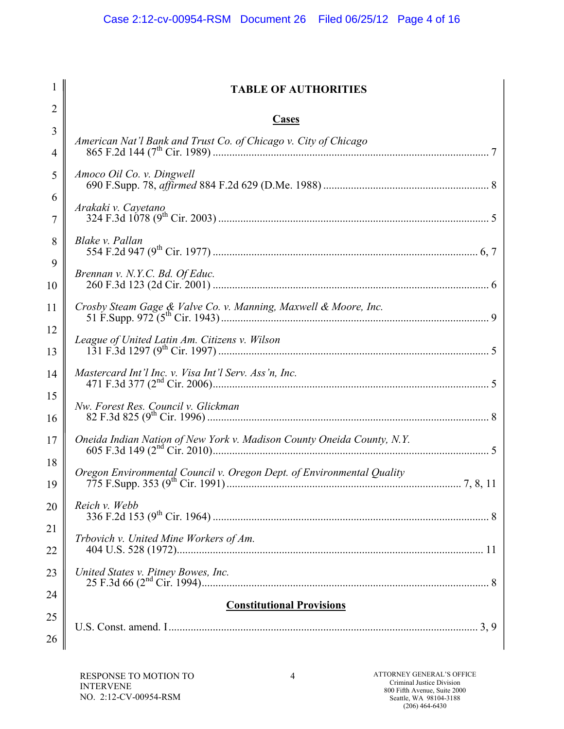|                | <b>TABLE OF AUTHORITIES</b>                                           |
|----------------|-----------------------------------------------------------------------|
| $\overline{2}$ | <b>Cases</b>                                                          |
| 3              |                                                                       |
| $\overline{4}$ |                                                                       |
| 5              | Amoco Oil Co. v. Dingwell                                             |
| 6<br>7         | Arakaki v. Cayetano                                                   |
| 8              | Blake v. Pallan                                                       |
| 9<br>10        | Brennan v. N.Y.C. Bd. Of Educ.                                        |
| 11             |                                                                       |
| 12<br>13       |                                                                       |
| 14             | Mastercard Int'l Inc. v. Visa Int'l Serv. Ass'n, Inc.                 |
| 15<br>16       | Nw. Forest Res. Council v. Glickman                                   |
| 17             |                                                                       |
| 18<br>19       | Oregon Environmental Council v. Oregon Dept. of Environmental Quality |
| 20             | Reich v. Webb                                                         |
| 21<br>22       | Trbovich v. United Mine Workers of Am.                                |
| 23             |                                                                       |
| 24             | <b>Constitutional Provisions</b>                                      |
| 25             |                                                                       |
| 26             |                                                                       |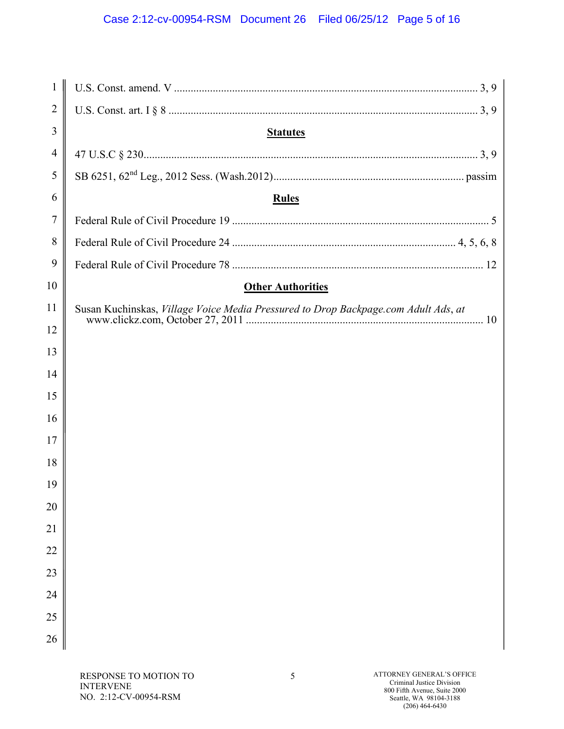# Case 2:12-cv-00954-RSM Document 26 Filed 06/25/12 Page 5 of 16

| $\mathbf{1}$   |                                                                                    |
|----------------|------------------------------------------------------------------------------------|
| $\overline{2}$ |                                                                                    |
| 3              | <b>Statutes</b>                                                                    |
| 4              |                                                                                    |
| 5              |                                                                                    |
| 6              | <b>Rules</b>                                                                       |
| 7              |                                                                                    |
| 8              |                                                                                    |
| 9              |                                                                                    |
| 10             | <b>Other Authorities</b>                                                           |
| 11             | Susan Kuchinskas, Village Voice Media Pressured to Drop Backpage.com Adult Ads, at |
| 12             |                                                                                    |
| 13             |                                                                                    |
| 14             |                                                                                    |
| 15             |                                                                                    |
| 16             |                                                                                    |
| 17             |                                                                                    |
| 18             |                                                                                    |
| 19             |                                                                                    |
| 20             |                                                                                    |
| 21             |                                                                                    |
| 22             |                                                                                    |
| 23             |                                                                                    |
| 24             |                                                                                    |
| 25             |                                                                                    |
| 26             |                                                                                    |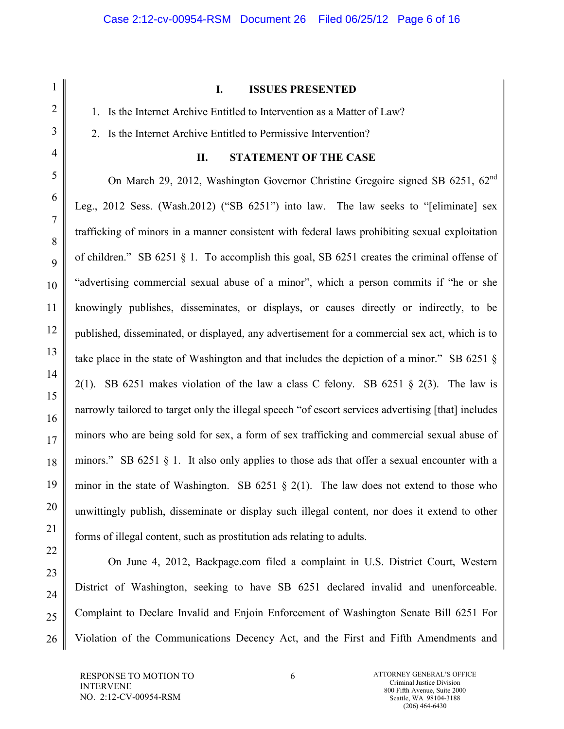#### **I. ISSUES PRESENTED**

1. Is the Internet Archive Entitled to Intervention as a Matter of Law?

2. Is the Internet Archive Entitled to Permissive Intervention?

## **II. STATEMENT OF THE CASE**

On March 29, 2012, Washington Governor Christine Gregoire signed SB 6251, 62nd Leg., 2012 Sess. (Wash.2012) ("SB 6251") into law. The law seeks to "[eliminate] sex trafficking of minors in a manner consistent with federal laws prohibiting sexual exploitation of children." SB 6251  $\S$  1. To accomplish this goal, SB 6251 creates the criminal offense of "advertising commercial sexual abuse of a minor", which a person commits if "he or she knowingly publishes, disseminates, or displays, or causes directly or indirectly, to be published, disseminated, or displayed, any advertisement for a commercial sex act, which is to take place in the state of Washington and that includes the depiction of a minor." SB 6251 § 2(1). SB 6251 makes violation of the law a class C felony. SB 6251  $\S$  2(3). The law is narrowly tailored to target only the illegal speech "of escort services advertising [that] includes minors who are being sold for sex, a form of sex trafficking and commercial sexual abuse of minors." SB 6251 § 1. It also only applies to those ads that offer a sexual encounter with a minor in the state of Washington. SB 6251  $\S$  2(1). The law does not extend to those who unwittingly publish, disseminate or display such illegal content, nor does it extend to other forms of illegal content, such as prostitution ads relating to adults.

On June 4, 2012, Backpage.com filed a complaint in U.S. District Court, Western District of Washington, seeking to have SB 6251 declared invalid and unenforceable. Complaint to Declare Invalid and Enjoin Enforcement of Washington Senate Bill 6251 For Violation of the Communications Decency Act, and the First and Fifth Amendments and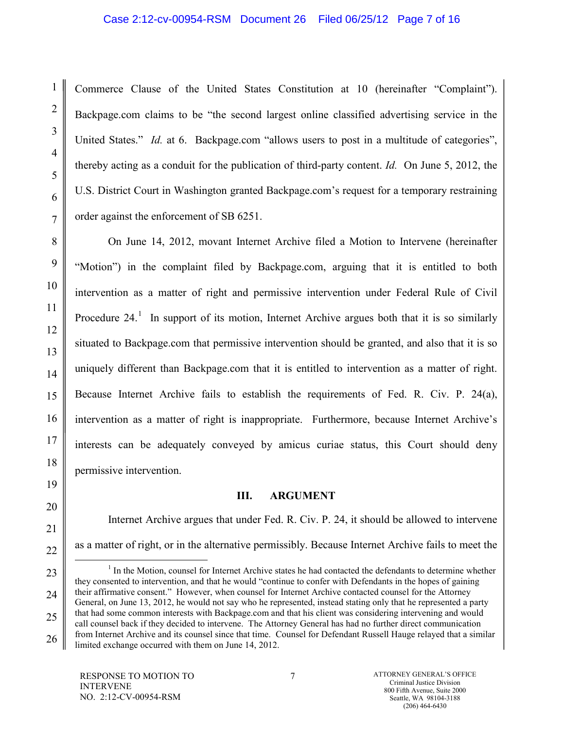#### Case 2:12-cv-00954-RSM Document 26 Filed 06/25/12 Page 7 of 16

Commerce Clause of the United States Constitution at 10 (hereinafter "Complaint"). Backpage.com claims to be "the second largest online classified advertising service in the United States." *Id.* at 6. Backpage.com "allows users to post in a multitude of categories", thereby acting as a conduit for the publication of third-party content. *Id.* On June 5, 2012, the U.S. District Court in Washington granted Backpage.com's request for a temporary restraining order against the enforcement of SB 6251.

On June 14, 2012, movant Internet Archive filed a Motion to Intervene (hereinafter "Motion") in the complaint filed by Backpage.com, arguing that it is entitled to both intervention as a matter of right and permissive intervention under Federal Rule of Civil Procedure  $24<sup>1</sup>$  $24<sup>1</sup>$  $24<sup>1</sup>$  In support of its motion, Internet Archive argues both that it is so similarly situated to Backpage.com that permissive intervention should be granted, and also that it is so uniquely different than Backpage.com that it is entitled to intervention as a matter of right. Because Internet Archive fails to establish the requirements of Fed. R. Civ. P. 24(a), intervention as a matter of right is inappropriate. Furthermore, because Internet Archive's interests can be adequately conveyed by amicus curiae status, this Court should deny permissive intervention.

## **III. ARGUMENT**

Internet Archive argues that under Fed. R. Civ. P. 24, it should be allowed to intervene as a matter of right, or in the alternative permissibly. Because Internet Archive fails to meet the

<span id="page-6-0"></span> $<sup>1</sup>$  In the Motion, counsel for Internet Archive states he had contacted the defendants to determine whether</sup> they consented to intervention, and that he would "continue to confer with Defendants in the hopes of gaining their affirmative consent." However, when counsel for Internet Archive contacted counsel for the Attorney General, on June 13, 2012, he would not say who he represented, instead stating only that he represented a party that had some common interests with Backpage.com and that his client was considering intervening and would call counsel back if they decided to intervene. The Attorney General has had no further direct communication from Internet Archive and its counsel since that time. Counsel for Defendant Russell Hauge relayed that a similar limited exchange occurred with them on June 14, 2012.

1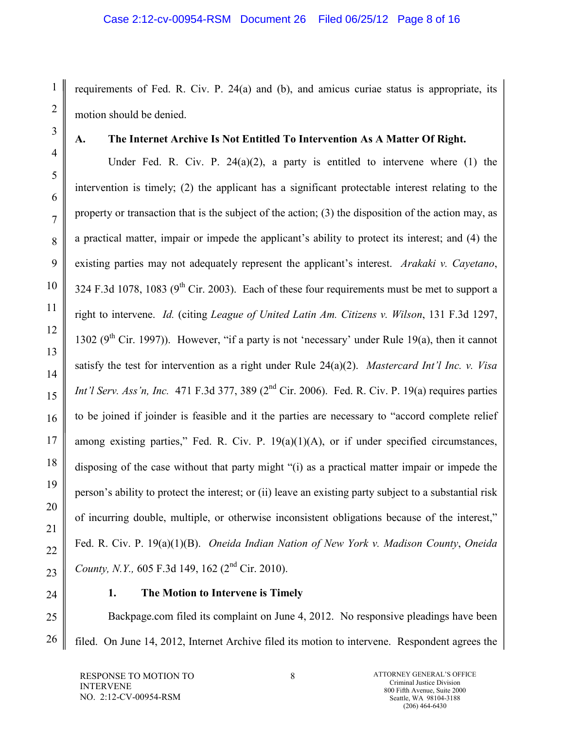requirements of Fed. R. Civ. P. 24(a) and (b), and amicus curiae status is appropriate, its motion should be denied.

1

2

3

4

5

6

7

8

9

10

11

12

13

14

15

16

17

18

19

20

21

22

23

25

26

# **A. The Internet Archive Is Not Entitled To Intervention As A Matter Of Right.**

Under Fed. R. Civ. P.  $24(a)(2)$ , a party is entitled to intervene where (1) the intervention is timely; (2) the applicant has a significant protectable interest relating to the property or transaction that is the subject of the action; (3) the disposition of the action may, as a practical matter, impair or impede the applicant's ability to protect its interest; and (4) the existing parties may not adequately represent the applicant's interest. *Arakaki v. Cayetano*, 324 F.3d 1078, 1083 ( $9<sup>th</sup>$  Cir. 2003). Each of these four requirements must be met to support a right to intervene. *Id.* (citing *League of United Latin Am. Citizens v. Wilson*, 131 F.3d 1297, 1302 ( $9<sup>th</sup>$  Cir. 1997)). However, "if a party is not 'necessary' under Rule 19(a), then it cannot satisfy the test for intervention as a right under Rule 24(a)(2). *Mastercard Int'l Inc. v. Visa Int'l Serv. Ass'n, Inc.* 471 F.3d 377, 389 (2<sup>nd</sup> Cir. 2006). Fed. R. Civ. P. 19(a) requires parties to be joined if joinder is feasible and it the parties are necessary to "accord complete relief among existing parties," Fed. R. Civ. P.  $19(a)(1)(A)$ , or if under specified circumstances, disposing of the case without that party might "(i) as a practical matter impair or impede the person's ability to protect the interest; or (ii) leave an existing party subject to a substantial risk of incurring double, multiple, or otherwise inconsistent obligations because of the interest," Fed. R. Civ. P. 19(a)(1)(B). *Oneida Indian Nation of New York v. Madison County*, *Oneida County, N.Y.,* 605 F.3d 149, 162 (2<sup>nd</sup> Cir. 2010).

24

## **1. The Motion to Intervene is Timely**

Backpage.com filed its complaint on June 4, 2012. No responsive pleadings have been filed. On June 14, 2012, Internet Archive filed its motion to intervene. Respondent agrees the

RESPONSE TO MOTION TO INTERVENE NO. 2:12-CV-00954-RSM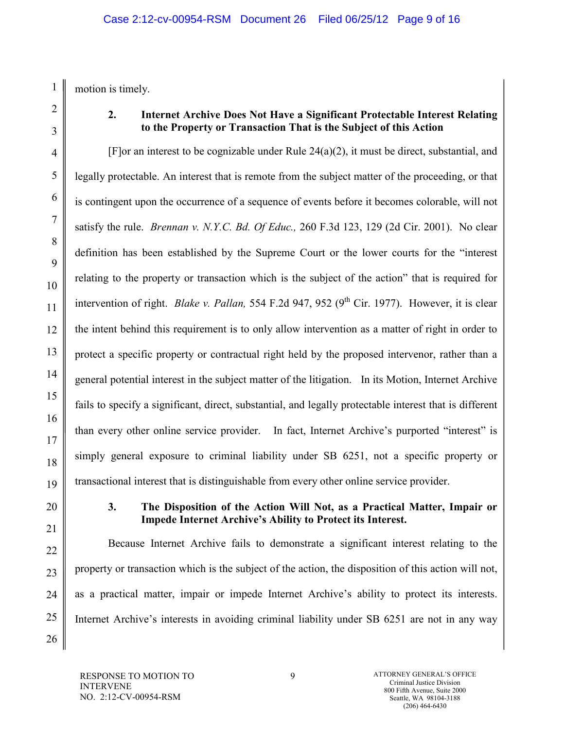motion is timely.

1

2

3

4

5

6

7

8

9

10

11

12

13

14

15

16

17

18

19

20

21

22

23

24

25

26

# **2. Internet Archive Does Not Have a Significant Protectable Interest Relating to the Property or Transaction That is the Subject of this Action**

[F]or an interest to be cognizable under Rule 24(a)(2), it must be direct, substantial, and legally protectable. An interest that is remote from the subject matter of the proceeding, or that is contingent upon the occurrence of a sequence of events before it becomes colorable, will not satisfy the rule. *Brennan v. N.Y.C. Bd. Of Educ.,* 260 F.3d 123, 129 (2d Cir. 2001). No clear definition has been established by the Supreme Court or the lower courts for the "interest relating to the property or transaction which is the subject of the action" that is required for intervention of right. *Blake v. Pallan*, 554 F.2d 947, 952 (9<sup>th</sup> Cir. 1977). However, it is clear the intent behind this requirement is to only allow intervention as a matter of right in order to protect a specific property or contractual right held by the proposed intervenor, rather than a general potential interest in the subject matter of the litigation. In its Motion, Internet Archive fails to specify a significant, direct, substantial, and legally protectable interest that is different than every other online service provider. In fact, Internet Archive's purported "interest" is simply general exposure to criminal liability under SB 6251, not a specific property or transactional interest that is distinguishable from every other online service provider.

# **3. The Disposition of the Action Will Not, as a Practical Matter, Impair or Impede Internet Archive's Ability to Protect its Interest.**

Because Internet Archive fails to demonstrate a significant interest relating to the property or transaction which is the subject of the action, the disposition of this action will not, as a practical matter, impair or impede Internet Archive's ability to protect its interests. Internet Archive's interests in avoiding criminal liability under SB 6251 are not in any way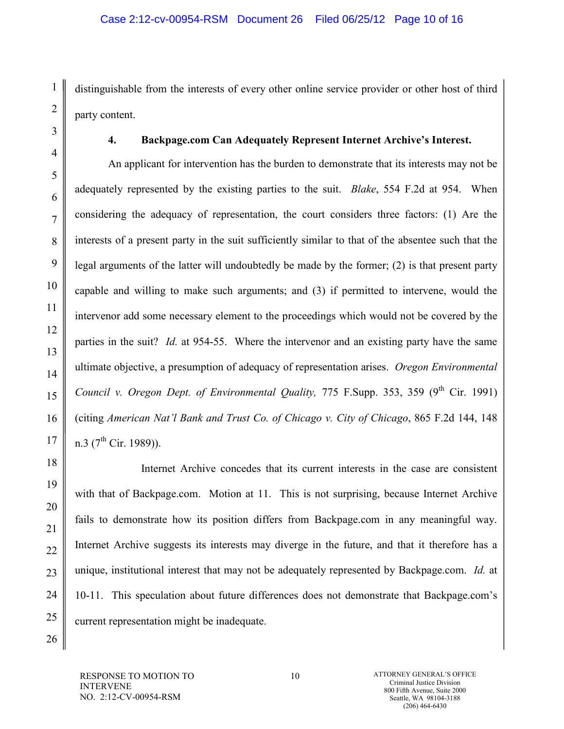distinguishable from the interests of every other online service provider or other host of third party content.

# **4. Backpage.com Can Adequately Represent Internet Archive's Interest.**

An applicant for intervention has the burden to demonstrate that its interests may not be adequately represented by the existing parties to the suit. *Blake*, 554 F.2d at 954. When considering the adequacy of representation, the court considers three factors: (1) Are the interests of a present party in the suit sufficiently similar to that of the absentee such that the legal arguments of the latter will undoubtedly be made by the former; (2) is that present party capable and willing to make such arguments; and (3) if permitted to intervene, would the intervenor add some necessary element to the proceedings which would not be covered by the parties in the suit? *Id.* at 954-55. Where the intervenor and an existing party have the same ultimate objective, a presumption of adequacy of representation arises. *Oregon Environmental Council v. Oregon Dept. of Environmental Quality, 775 F.Supp. 353, 359 (9<sup>th</sup> Cir. 1991)* (citing *American Nat'l Bank and Trust Co. of Chicago v. City of Chicago*, 865 F.2d 144, 148 n.3 ( $7^{th}$  Cir. 1989)).

Internet Archive concedes that its current interests in the case are consistent with that of Backpage.com. Motion at 11. This is not surprising, because Internet Archive fails to demonstrate how its position differs from Backpage.com in any meaningful way. Internet Archive suggests its interests may diverge in the future, and that it therefore has a unique, institutional interest that may not be adequately represented by Backpage.com. *Id.* at 10-11. This speculation about future differences does not demonstrate that Backpage.com's current representation might be inadequate.

RESPONSE TO MOTION TO INTERVENE NO. 2:12-CV-00954-RSM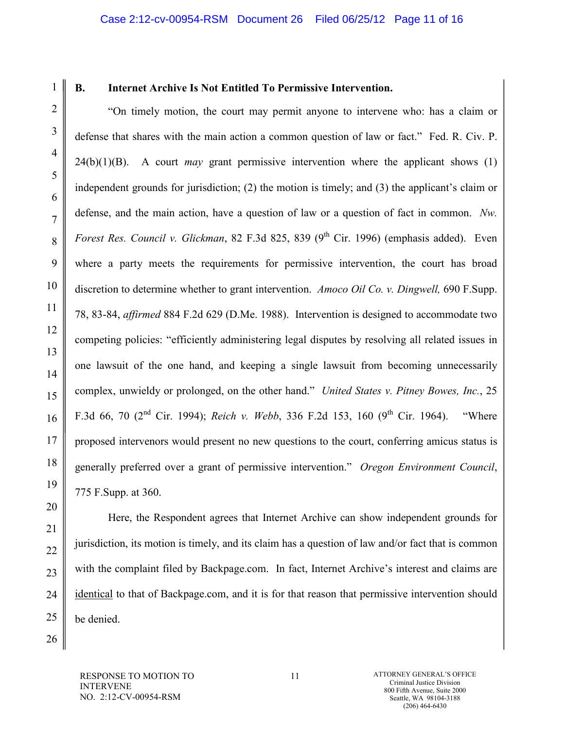1

# **B. Internet Archive Is Not Entitled To Permissive Intervention.**

"On timely motion, the court may permit anyone to intervene who: has a claim or defense that shares with the main action a common question of law or fact." Fed. R. Civ. P. 24(b)(1)(B). A court *may* grant permissive intervention where the applicant shows (1) independent grounds for jurisdiction; (2) the motion is timely; and (3) the applicant's claim or defense, and the main action, have a question of law or a question of fact in common. *Nw. Forest Res. Council v. Glickman*, 82 F.3d 825, 839 (9<sup>th</sup> Cir. 1996) (emphasis added). Even where a party meets the requirements for permissive intervention, the court has broad discretion to determine whether to grant intervention. *Amoco Oil Co. v. Dingwell,* 690 F.Supp. 78, 83-84, *affirmed* 884 F.2d 629 (D.Me. 1988). Intervention is designed to accommodate two competing policies: "efficiently administering legal disputes by resolving all related issues in one lawsuit of the one hand, and keeping a single lawsuit from becoming unnecessarily complex, unwieldy or prolonged, on the other hand." *United States v. Pitney Bowes, Inc.*, 25 F.3d 66, 70  $(2^{nd}$  Cir. 1994); *Reich v. Webb*, 336 F.2d 153, 160  $(9^{th}$  Cir. 1964). "Where proposed intervenors would present no new questions to the court, conferring amicus status is generally preferred over a grant of permissive intervention." *Oregon Environment Council*, 775 F.Supp. at 360.

Here, the Respondent agrees that Internet Archive can show independent grounds for jurisdiction, its motion is timely, and its claim has a question of law and/or fact that is common with the complaint filed by Backpage.com. In fact, Internet Archive's interest and claims are identical to that of Backpage.com, and it is for that reason that permissive intervention should be denied.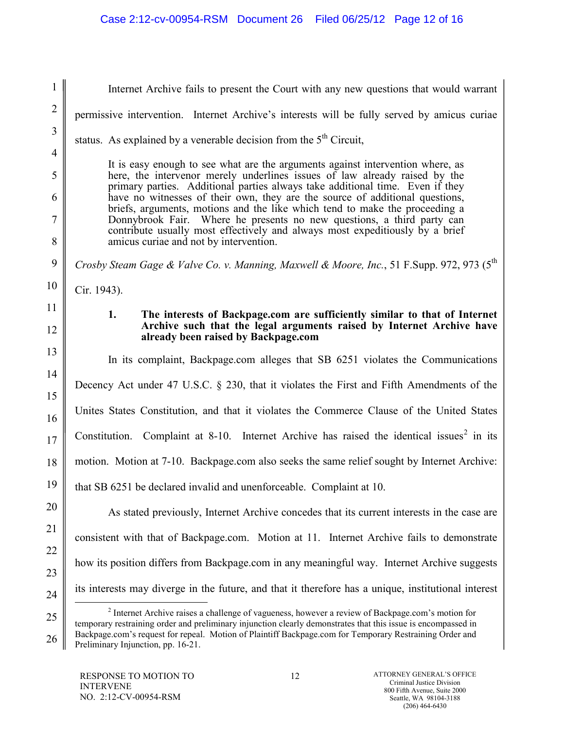| $\mathbf{1}$   | Internet Archive fails to present the Court with any new questions that would warrant                                                                                                                                         |
|----------------|-------------------------------------------------------------------------------------------------------------------------------------------------------------------------------------------------------------------------------|
| $\overline{2}$ | permissive intervention. Internet Archive's interests will be fully served by amicus curiae                                                                                                                                   |
| $\overline{3}$ | status. As explained by a venerable decision from the $5th$ Circuit,                                                                                                                                                          |
| $\overline{4}$ |                                                                                                                                                                                                                               |
| 5              | It is easy enough to see what are the arguments against intervention where, as<br>here, the intervenor merely underlines issues of law already raised by the                                                                  |
| 6              | primary parties. Additional parties always take additional time. Even if they<br>have no witnesses of their own, they are the source of additional questions,                                                                 |
| $\tau$         | briefs, arguments, motions and the like which tend to make the proceeding a<br>Donnybrook Fair. Where he presents no new questions, a third party can                                                                         |
| 8              | contribute usually most effectively and always most expeditiously by a brief<br>amicus curiae and not by intervention.                                                                                                        |
| 9              | Crosby Steam Gage & Valve Co. v. Manning, Maxwell & Moore, Inc., 51 F.Supp. 972, 973 (5 <sup>th</sup> )                                                                                                                       |
| 10             | Cir. 1943).                                                                                                                                                                                                                   |
| 11             | 1.<br>The interests of Backpage.com are sufficiently similar to that of Internet                                                                                                                                              |
| 12             | Archive such that the legal arguments raised by Internet Archive have<br>already been raised by Backpage.com                                                                                                                  |
| 13             | In its complaint, Backpage.com alleges that SB 6251 violates the Communications                                                                                                                                               |
| 14             | Decency Act under 47 U.S.C. § 230, that it violates the First and Fifth Amendments of the                                                                                                                                     |
| 15             | Unites States Constitution, and that it violates the Commerce Clause of the United States                                                                                                                                     |
| 16             |                                                                                                                                                                                                                               |
| 17             | Constitution. Complaint at 8-10. Internet Archive has raised the identical issues <sup>2</sup> in its                                                                                                                         |
| 18             | motion. Motion at 7-10. Backpage.com also seeks the same relief sought by Internet Archive:                                                                                                                                   |
| 19             | that SB 6251 be declared invalid and unenforceable. Complaint at 10.                                                                                                                                                          |
| 20             | As stated previously, Internet Archive concedes that its current interests in the case are                                                                                                                                    |
| 21             | consistent with that of Backpage.com. Motion at 11. Internet Archive fails to demonstrate                                                                                                                                     |
| 22             | how its position differs from Backpage.com in any meaningful way. Internet Archive suggests                                                                                                                                   |
| 23             |                                                                                                                                                                                                                               |
| 24             | its interests may diverge in the future, and that it therefore has a unique, institutional interest                                                                                                                           |
| 25             | <sup>2</sup> Internet Archive raises a challenge of vagueness, however a review of Backpage.com's motion for<br>temporary restraining order and preliminary injunction clearly demonstrates that this issue is encompassed in |
| 26             | Backpage.com's request for repeal. Motion of Plaintiff Backpage.com for Temporary Restraining Order and<br>Preliminary Injunction, pp. 16-21.                                                                                 |

<span id="page-11-0"></span>Preliminary Injunction, pp. 16-21.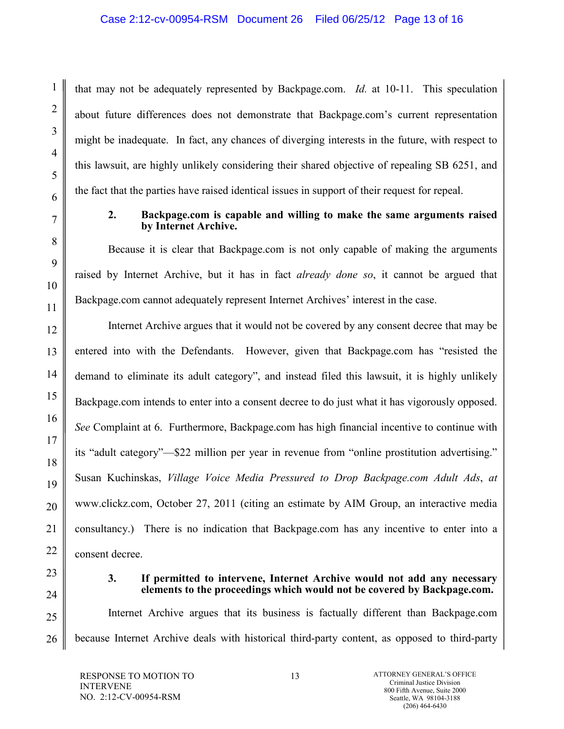that may not be adequately represented by Backpage.com. *Id.* at 10-11. This speculation about future differences does not demonstrate that Backpage.com's current representation might be inadequate. In fact, any chances of diverging interests in the future, with respect to this lawsuit, are highly unlikely considering their shared objective of repealing SB 6251, and the fact that the parties have raised identical issues in support of their request for repeal.

## **2. Backpage.com is capable and willing to make the same arguments raised by Internet Archive.**

Because it is clear that Backpage.com is not only capable of making the arguments raised by Internet Archive, but it has in fact *already done so*, it cannot be argued that Backpage.com cannot adequately represent Internet Archives' interest in the case.

Internet Archive argues that it would not be covered by any consent decree that may be entered into with the Defendants. However, given that Backpage.com has "resisted the demand to eliminate its adult category", and instead filed this lawsuit, it is highly unlikely Backpage.com intends to enter into a consent decree to do just what it has vigorously opposed. *See* Complaint at 6. Furthermore, Backpage.com has high financial incentive to continue with its "adult category"—\$22 million per year in revenue from "online prostitution advertising." Susan Kuchinskas, *Village Voice Media Pressured to Drop Backpage.com Adult Ads*, *at*  www.clickz.com, October 27, 2011 (citing an estimate by AIM Group, an interactive media consultancy.) There is no indication that Backpage.com has any incentive to enter into a consent decree.

1

2

3

4

5

6

7

8

9

10

11

12

13

14

15

16

17

18

19

20

21

22

23

24

25

26

## **3. If permitted to intervene, Internet Archive would not add any necessary elements to the proceedings which would not be covered by Backpage.com.**

Internet Archive argues that its business is factually different than Backpage.com because Internet Archive deals with historical third-party content, as opposed to third-party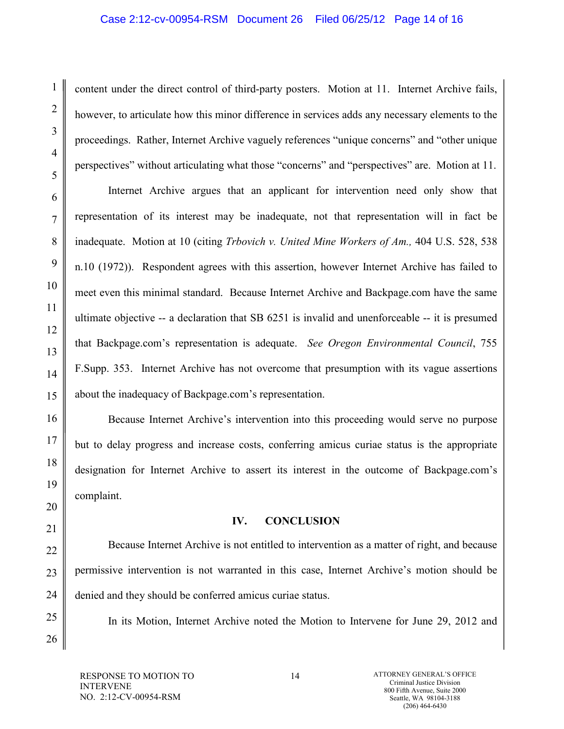content under the direct control of third-party posters. Motion at 11. Internet Archive fails, however, to articulate how this minor difference in services adds any necessary elements to the proceedings. Rather, Internet Archive vaguely references "unique concerns" and "other unique perspectives" without articulating what those "concerns" and "perspectives" are. Motion at 11.

Internet Archive argues that an applicant for intervention need only show that representation of its interest may be inadequate, not that representation will in fact be inadequate. Motion at 10 (citing *Trbovich v. United Mine Workers of Am.,* 404 U.S. 528, 538 n.10 (1972)). Respondent agrees with this assertion, however Internet Archive has failed to meet even this minimal standard. Because Internet Archive and Backpage.com have the same ultimate objective -- a declaration that SB 6251 is invalid and unenforceable -- it is presumed that Backpage.com's representation is adequate. *See Oregon Environmental Council*, 755 F.Supp. 353. Internet Archive has not overcome that presumption with its vague assertions about the inadequacy of Backpage.com's representation.

Because Internet Archive's intervention into this proceeding would serve no purpose but to delay progress and increase costs, conferring amicus curiae status is the appropriate designation for Internet Archive to assert its interest in the outcome of Backpage.com's complaint.

# **IV. CONCLUSION**

Because Internet Archive is not entitled to intervention as a matter of right, and because permissive intervention is not warranted in this case, Internet Archive's motion should be denied and they should be conferred amicus curiae status.

In its Motion, Internet Archive noted the Motion to Intervene for June 29, 2012 and

1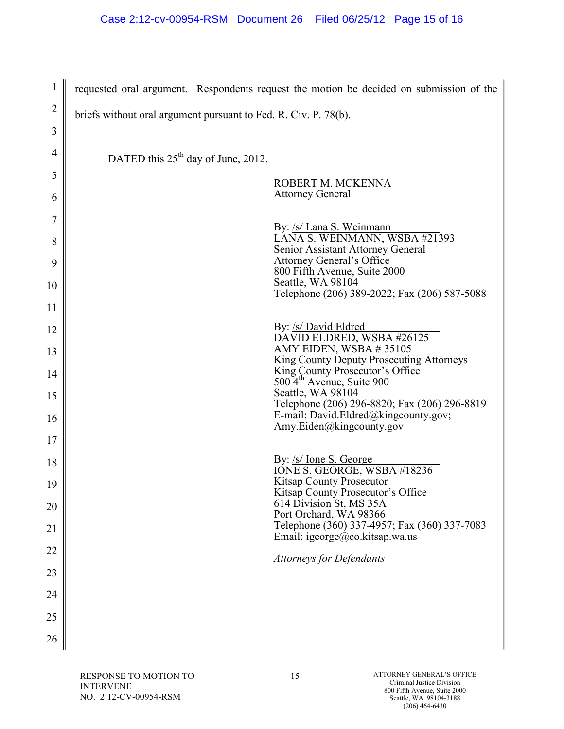| 1              | requested oral argument. Respondents request the motion be decided on submission of the |
|----------------|-----------------------------------------------------------------------------------------|
| $\overline{2}$ | briefs without oral argument pursuant to Fed. R. Civ. P. 78(b).                         |
| 3              |                                                                                         |
| $\overline{4}$ | DATED this 25 <sup>th</sup> day of June, 2012.                                          |
| 5              | ROBERT M. MCKENNA                                                                       |
| 6              | <b>Attorney General</b>                                                                 |
| 7              | By: /s/ Lana S. Weinmann                                                                |
| 8              | LÁNA S. WEINMANN, WSBA #21393<br>Senior Assistant Attorney General                      |
| 9              | <b>Attorney General's Office</b><br>800 Fifth Avenue, Suite 2000                        |
| 10             | Seattle, WA 98104<br>Telephone (206) 389-2022; Fax (206) 587-5088                       |
| 11             |                                                                                         |
| 12             | By: /s/ David Eldred<br>DAVID ELDRED, WSBA #26125                                       |
| 13             | AMY EIDEN, WSBA #35105<br>King County Deputy Prosecuting Attorneys                      |
| 14             | King County Prosecutor's Office<br>500 4 <sup>th</sup> Avenue, Suite 900                |
| 15             | Seattle, WA 98104<br>Telephone (206) 296-8820; Fax (206) 296-8819                       |
| 16             | E-mail: David.Eldred@kingcounty.gov;<br>Amy.Eiden@kingcounty.gov                        |
| 17             |                                                                                         |
| 18             | By: /s/ Ione S. George<br>IONE S. GEORGE, WSBA #18236                                   |
| 19             | <b>Kitsap County Prosecutor</b><br>Kitsap County Prosecutor's Office                    |
| 20             | 614 Division St, MS 35A<br>Port Orchard, WA 98366                                       |
| 21             | Telephone (360) 337-4957; Fax (360) 337-7083<br>Email: igeorge@co.kitsap.wa.us          |
| 22             | <b>Attorneys for Defendants</b>                                                         |
| 23             |                                                                                         |
| 24             |                                                                                         |
| 25             |                                                                                         |
| 26             |                                                                                         |